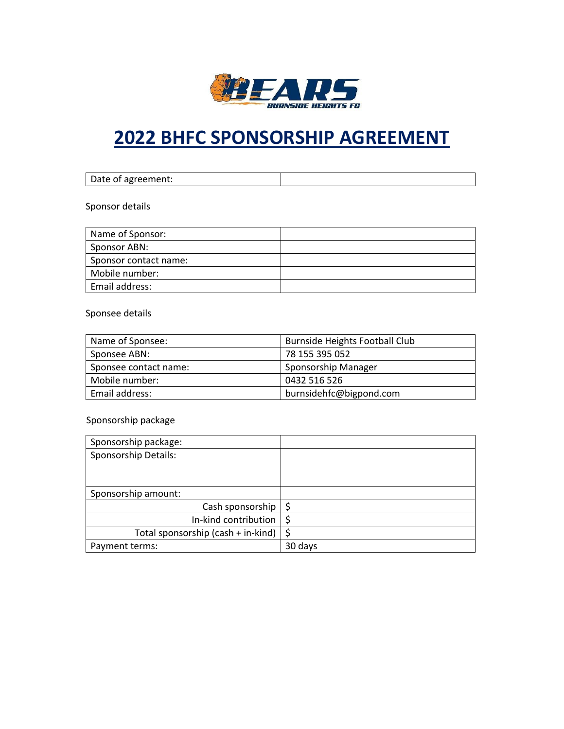

# **2022 BHFC SPONSORSHIP AGREEMENT**

| Date of agreement: |  |
|--------------------|--|

Sponsor details

| Name of Sponsor:      |  |
|-----------------------|--|
| Sponsor ABN:          |  |
| Sponsor contact name: |  |
| Mobile number:        |  |
| Email address:        |  |

Sponsee details

| Name of Sponsee:      | <b>Burnside Heights Football Club</b> |
|-----------------------|---------------------------------------|
| Sponsee ABN:          | 78 155 395 052                        |
| Sponsee contact name: | Sponsorship Manager                   |
| Mobile number:        | 0432 516 526                          |
| Email address:        | burnsidehfc@bigpond.com               |

Sponsorship package

| Sponsorship package:               |         |
|------------------------------------|---------|
| Sponsorship Details:               |         |
|                                    |         |
|                                    |         |
| Sponsorship amount:                |         |
| Cash sponsorship $\frac{1}{5}$     |         |
| In-kind contribution               | - \$    |
| Total sponsorship (cash + in-kind) | \$      |
| Payment terms:                     | 30 days |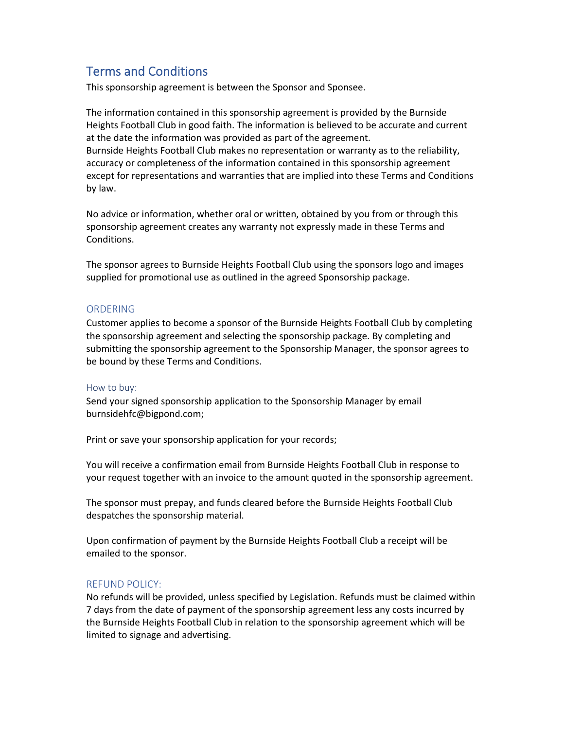# Terms and Conditions

This sponsorship agreement is between the Sponsor and Sponsee.

The information contained in this sponsorship agreement is provided by the Burnside Heights Football Club in good faith. The information is believed to be accurate and current at the date the information was provided as part of the agreement. Burnside Heights Football Club makes no representation or warranty as to the reliability, accuracy or completeness of the information contained in this sponsorship agreement except for representations and warranties that are implied into these Terms and Conditions by law.

No advice or information, whether oral or written, obtained by you from or through this sponsorship agreement creates any warranty not expressly made in these Terms and Conditions.

The sponsor agrees to Burnside Heights Football Club using the sponsors logo and images supplied for promotional use as outlined in the agreed Sponsorship package.

#### ORDERING

Customer applies to become a sponsor of the Burnside Heights Football Club by completing the sponsorship agreement and selecting the sponsorship package. By completing and submitting the sponsorship agreement to the Sponsorship Manager, the sponsor agrees to be bound by these Terms and Conditions.

#### How to buy:

Send your signed sponsorship application to the Sponsorship Manager by email burnsidehfc@bigpond.com;

Print or save your sponsorship application for your records;

You will receive a confirmation email from Burnside Heights Football Club in response to your request together with an invoice to the amount quoted in the sponsorship agreement.

The sponsor must prepay, and funds cleared before the Burnside Heights Football Club despatches the sponsorship material.

Upon confirmation of payment by the Burnside Heights Football Club a receipt will be emailed to the sponsor.

#### REFUND POLICY:

No refunds will be provided, unless specified by Legislation. Refunds must be claimed within 7 days from the date of payment of the sponsorship agreement less any costs incurred by the Burnside Heights Football Club in relation to the sponsorship agreement which will be limited to signage and advertising.